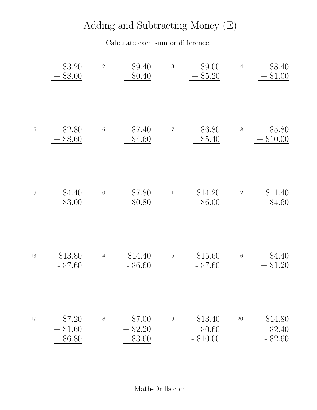## Adding and Subtracting Money (E)

Calculate each sum or difference.

| \$8.40<br>$+$ \$1.00                | 4.       | \$9.00<br>$+$ \$5.20                 | 3.    | \$9.40<br>$-$ \$0.40           | 2.       | \$3.20<br>\$8.00                      | $1.$ |
|-------------------------------------|----------|--------------------------------------|-------|--------------------------------|----------|---------------------------------------|------|
| \$5.80<br>\$10.00                   | 8.       | \$6.80<br>\$5.40<br>$\equiv$         | 7.    | \$7.40<br>$-$ \$4.60           | 6.       | \$2.80<br>\$8.60                      | 5.   |
| \$11.40<br>$-$ \$4.60               | $12. \,$ | \$14.20<br>$-$ \$6.00                | $11.$ | \$7.80<br>\$0.80               | $10. \,$ | \$4.40<br>\$3.00                      | 9.   |
| \$4.40<br>\$1.20                    | 16.      | \$15.60<br>$-$ \$7.60                | 15.   | \$14.40<br>$-$ \$6.60          | 14.      | \$13.80<br>$-$ \$7.60                 | 13.  |
| \$14.80<br>$-$ \$2.40<br>$-$ \$2.60 | 20.      | \$13.40<br>$-$ \$0.60<br>$-$ \$10.00 | 19.   | \$7.00<br>$+$ \$2.20<br>\$3.60 | 18.      | \$7.20<br>$+$ \$1.60<br>\$6.80<br>$+$ | 17.  |